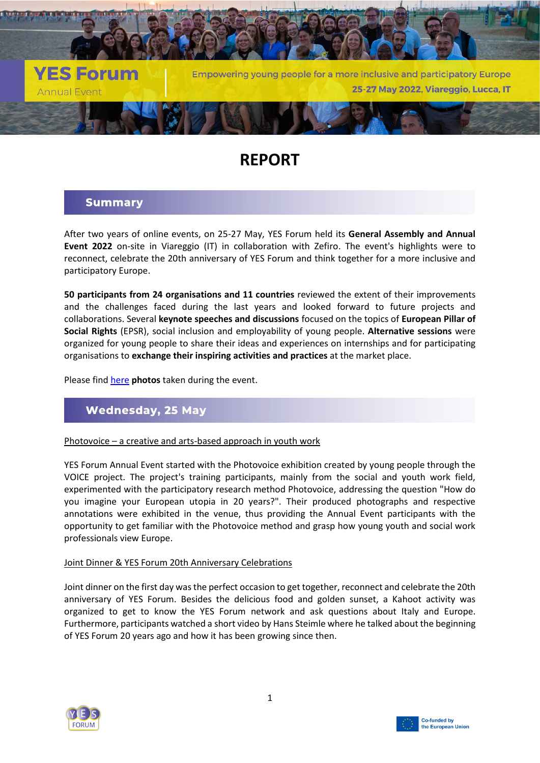

# **REPORT**

# **Summary**

After two years of online events, on 25-27 May, YES Forum held its **General Assembly and Annual Event 2022** on-site in Viareggio (IT) in collaboration with Zefiro. The event's highlights were to reconnect, celebrate the 20th anniversary of YES Forum and think together for a more inclusive and participatory Europe.

**50 participants from 24 organisations and 11 countries** reviewed the extent of their improvements and the challenges faced during the last years and looked forward to future projects and collaborations. Several **keynote speeches and discussions** focused on the topics of **European Pillar of Social Rights** (EPSR), social inclusion and employability of young people. **Alternative sessions** were organized for young people to share their ideas and experiences on internships and for participating organisations to **exchange their inspiring activities and practices** at the market place.

Please find [here](https://austausch.yes-forum.eu/d/3cafd1bad43a411ea5a7/) **photos** taken during the event.

# **Wednesday, 25 May**

### Photovoice – a creative and arts-based approach in youth work

YES Forum Annual Event started with the Photovoice exhibition created by young people through the VOICE project. The project's training participants, mainly from the social and youth work field, experimented with the participatory research method Photovoice, addressing the question "How do you imagine your European utopia in 20 years?". Their produced photographs and respective annotations were exhibited in the venue, thus providing the Annual Event participants with the opportunity to get familiar with the Photovoice method and grasp how young youth and social work professionals view Europe.

### Joint Dinner & YES Forum 20th Anniversary Celebrations

Joint dinner on the first day was the perfect occasion to get together, reconnect and celebrate the 20th anniversary of YES Forum. Besides the delicious food and golden sunset, a Kahoot activity was organized to get to know the YES Forum network and ask questions about Italy and Europe. Furthermore, participants watched a short video by Hans Steimle where he talked about the beginning of YES Forum 20 years ago and how it has been growing since then.



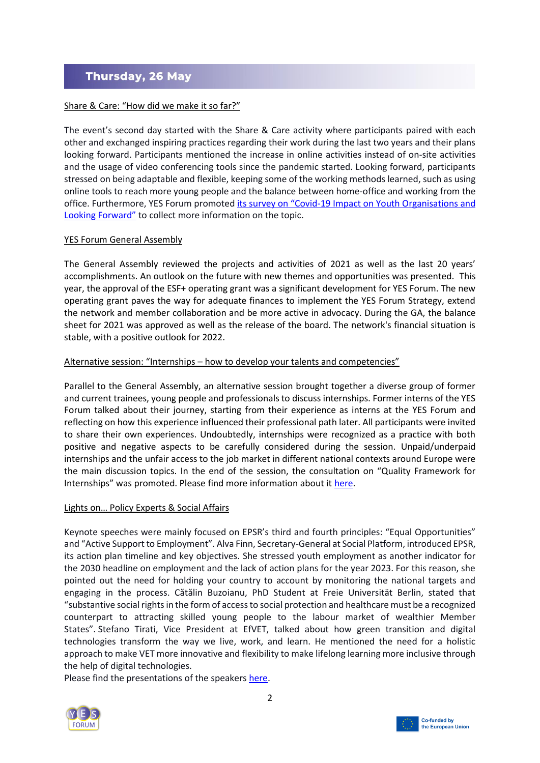# Thursday, 26 May

# Share & Care: "How did we make it so far?"

The event's second day started with the Share & Care activity where participants paired with each other and exchanged inspiring practices regarding their work during the last two years and their plans looking forward. Participants mentioned the increase in online activities instead of on-site activities and the usage of video conferencing tools since the pandemic started. Looking forward, participants stressed on being adaptable and flexible, keeping some of the working methods learned, such as using online tools to reach more young people and the balance between home-office and working from the office. Furthermore, YES Forum promoted its survey on "Covid[-19 Impact on Youth Organisations and](https://survey.yes-forum.eu/index.php?sid=93629&lang=en)  [Looking Forward"](https://survey.yes-forum.eu/index.php?sid=93629&lang=en) to collect more information on the topic.

## YES Forum General Assembly

The General Assembly reviewed the projects and activities of 2021 as well as the last 20 years' accomplishments. An outlook on the future with new themes and opportunities was presented. This year, the approval of the ESF+ operating grant was a significant development for YES Forum. The new operating grant paves the way for adequate finances to implement the YES Forum Strategy, extend the network and member collaboration and be more active in advocacy. During the GA, the balance sheet for 2021 was approved as well as the release of the board. The network's financial situation is stable, with a positive outlook for 2022.

## Alternative session: "Internships – how to develop your talents and competencies"

Parallel to the General Assembly, an alternative session brought together a diverse group of former and current trainees, young people and professionals to discuss internships. Former interns of the YES Forum talked about their journey, starting from their experience as interns at the YES Forum and reflecting on how this experience influenced their professional path later. All participants were invited to share their own experiences. Undoubtedly, internships were recognized as a practice with both positive and negative aspects to be carefully considered during the session. Unpaid/underpaid internships and the unfair access to the job market in different national contexts around Europe were the main discussion topics. In the end of the session, the consultation on "Quality Framework for Internships" was promoted. Please find more information about i[t here.](https://ec.europa.eu/info/law/better-regulation/have-your-say/initiatives/13118-Quality-Framework-for-Traineeships-review-evaluation-/public-consultation_en)

### Lights on… Policy Experts & Social Affairs

Keynote speeches were mainly focused on EPSR's third and fourth principles: "Equal Opportunities" and "Active Support to Employment". Alva Finn, Secretary-General at Social Platform, introduced EPSR, its action plan timeline and key objectives. She stressed youth employment as another indicator for the 2030 headline on employment and the lack of action plans for the year 2023. For this reason, she pointed out the need for holding your country to account by monitoring the national targets and engaging in the process. Cătălin Buzoianu, PhD Student at Freie Universität Berlin, stated that "substantive social rights in the form of access to social protection and healthcare must be a recognized counterpart to attracting skilled young people to the labour market of wealthier Member States". Stefano Tirati, Vice President at EfVET, talked about how green transition and digital technologies transform the way we live, work, and learn. He mentioned the need for a holistic approach to make VET more innovative and flexibility to make lifelong learning more inclusive through the help of digital technologies.

Please find the presentations of the speakers [here.](https://austausch.yes-forum.eu/d/f3ebfcf9751c4c98ace3/)